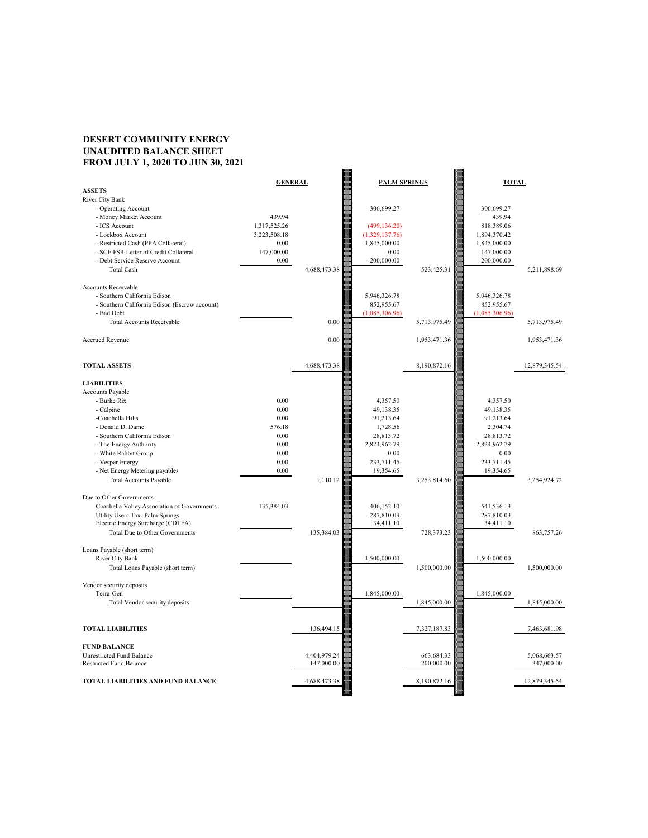# **DESERT COMMUNITY ENERGY UNAUDITED BALANCE SHEET FROM JULY 1, 2020 TO JUN 30, 2021**

| <b>ASSETS</b>                                                                                                                                                                                                                                                                                                  | <b>GENERAL</b>                                                         |                            | <b>PALM SPRINGS</b>                                                                                            |                              | <b>TOTAL</b>                                                                                                   |                              |
|----------------------------------------------------------------------------------------------------------------------------------------------------------------------------------------------------------------------------------------------------------------------------------------------------------------|------------------------------------------------------------------------|----------------------------|----------------------------------------------------------------------------------------------------------------|------------------------------|----------------------------------------------------------------------------------------------------------------|------------------------------|
| River City Bank<br>- Operating Account<br>- Money Market Account<br>- ICS Account<br>- Lockbox Account<br>- Restricted Cash (PPA Collateral)<br>- SCE FSR Letter of Credit Collateral<br>- Debt Service Reserve Account<br><b>Total Cash</b>                                                                   | 439.94<br>1,317,525.26<br>3,223,508.18<br>0.00<br>147,000.00<br>0.00   | 4,688,473.38               | 306,699.27<br>(499, 136.20)<br>(1,329,137.76)<br>1,845,000.00<br>0.00<br>200,000.00                            | 523,425.31                   | 306,699.27<br>439.94<br>818,389.06<br>1,894,370.42<br>1,845,000.00<br>147,000.00<br>200,000.00                 | 5,211,898.69                 |
| <b>Accounts Receivable</b><br>- Southern California Edison<br>- Southern California Edison (Escrow account)<br>- Bad Debt<br><b>Total Accounts Receivable</b><br>Accrued Revenue                                                                                                                               |                                                                        | 0.00<br>0.00               | 5,946,326.78<br>852,955.67<br>(1,085,306.96)                                                                   | 5,713,975.49<br>1,953,471.36 | 5,946,326.78<br>852,955.67<br>(1,085,306.96)                                                                   | 5,713,975.49<br>1,953,471.36 |
| <b>TOTAL ASSETS</b>                                                                                                                                                                                                                                                                                            |                                                                        | 4,688,473.38               |                                                                                                                | 8,190,872.16                 |                                                                                                                | 12,879,345.54                |
| <b>LIABILITIES</b><br>Accounts Payable<br>- Burke Rix<br>- Calpine<br>-Coachella Hills<br>- Donald D. Dame<br>- Southern California Edison<br>- The Energy Authority<br>- White Rabbit Group<br>- Vesper Energy<br>- Net Energy Metering payables<br><b>Total Accounts Payable</b><br>Due to Other Governments | 0.00<br>0.00<br>0.00<br>576.18<br>0.00<br>0.00<br>0.00<br>0.00<br>0.00 | 1,110.12                   | 4,357.50<br>49,138.35<br>91,213.64<br>1,728.56<br>28,813.72<br>2,824,962.79<br>0.00<br>233,711.45<br>19,354.65 | 3,253,814.60                 | 4,357.50<br>49,138.35<br>91,213.64<br>2,304.74<br>28,813.72<br>2,824,962.79<br>0.00<br>233,711.45<br>19,354.65 | 3,254,924.72                 |
| Coachella Valley Association of Governments<br>Utility Users Tax- Palm Springs<br>Electric Energy Surcharge (CDTFA)<br>Total Due to Other Governments                                                                                                                                                          | 135,384.03                                                             | 135,384.03                 | 406,152.10<br>287,810.03<br>34,411.10                                                                          | 728,373.23                   | 541,536.13<br>287,810.03<br>34,411.10                                                                          | 863,757.26                   |
| Loans Payable (short term)<br><b>River City Bank</b><br>Total Loans Payable (short term)                                                                                                                                                                                                                       |                                                                        |                            | 1,500,000.00                                                                                                   | 1,500,000.00                 | 1,500,000.00                                                                                                   | 1,500,000.00                 |
| Vendor security deposits<br>Terra-Gen<br>Total Vendor security deposits                                                                                                                                                                                                                                        |                                                                        |                            | 1,845,000.00                                                                                                   | 1,845,000.00                 | 1,845,000.00                                                                                                   | 1,845,000.00                 |
| <b>TOTAL LIABILITIES</b>                                                                                                                                                                                                                                                                                       |                                                                        | 136,494.15                 |                                                                                                                | 7,327,187.83                 |                                                                                                                | 7,463,681.98                 |
| <b>FUND BALANCE</b><br><b>Unrestricted Fund Balance</b><br><b>Restricted Fund Balance</b>                                                                                                                                                                                                                      |                                                                        | 4,404,979.24<br>147,000.00 |                                                                                                                | 663, 684. 33<br>200,000.00   |                                                                                                                | 5,068,663.57<br>347,000.00   |
| <b>TOTAL LIABILITIES AND FUND BALANCE</b>                                                                                                                                                                                                                                                                      |                                                                        | 4,688,473.38               |                                                                                                                | 8,190,872.16                 |                                                                                                                | 12,879,345.54                |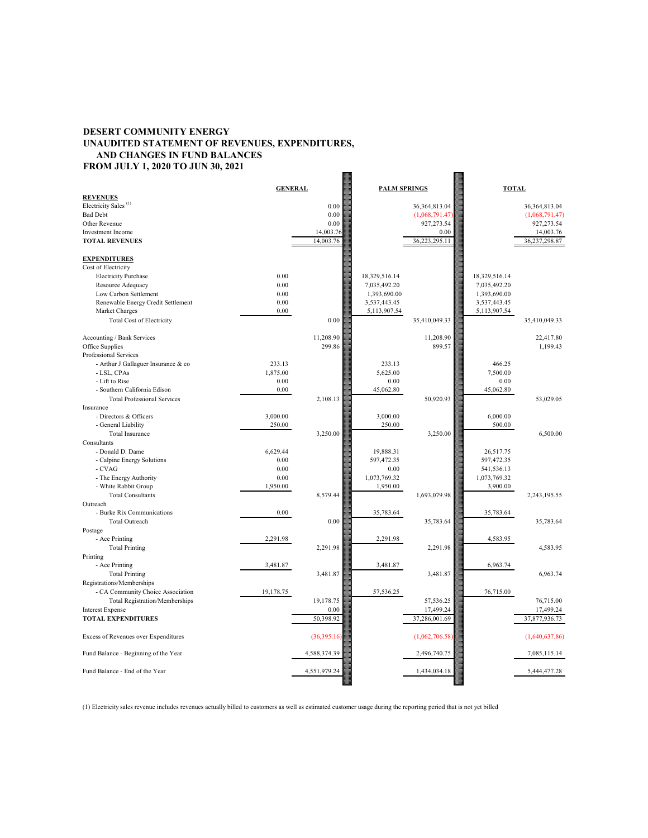## **DESERT COMMUNITY ENERGY UNAUDITED STATEMENT OF REVENUES, EXPENDITURES, AND CHANGES IN FUND BALANCES FROM JULY 1, 2020 TO JUN 30, 2021**  $\blacksquare$

|                                       |           | <b>GENERAL</b><br><b>PALM SPRINGS</b> |               | <b>TOTAL</b>    |                   |                 |
|---------------------------------------|-----------|---------------------------------------|---------------|-----------------|-------------------|-----------------|
| <b>REVENUES</b>                       |           |                                       |               |                 |                   |                 |
| Electricity Sales <sup>(1)</sup>      |           | 0.00                                  |               | 36, 364, 813.04 |                   | 36, 364, 813.04 |
| <b>Bad Debt</b>                       |           | 0.00                                  |               | (1,068,791.47)  |                   | (1,068,791.47)  |
| Other Revenue                         |           | 0.00                                  |               | 927,273.54      |                   | 927, 273.54     |
| <b>Investment Income</b>              |           | 14,003.76                             |               | 0.00            |                   | 14,003.76       |
| <b>TOTAL REVENUES</b>                 |           | 14,003.76                             |               | 36,223,295.11   |                   | 36, 237, 298.87 |
|                                       |           |                                       |               |                 |                   |                 |
| <b>EXPENDITURES</b>                   |           |                                       |               |                 |                   |                 |
| Cost of Electricity                   |           |                                       |               |                 |                   |                 |
| <b>Electricity Purchase</b>           | 0.00      |                                       | 18,329,516.14 |                 | 18,329,516.14     |                 |
| Resource Adequacy                     | 0.00      |                                       | 7,035,492.20  |                 | 7,035,492.20      |                 |
| Low Carbon Settlement                 | 0.00      |                                       | 1,393,690.00  |                 | 1,393,690.00      |                 |
| Renewable Energy Credit Settlement    | 0.00      |                                       | 3,537,443.45  |                 | 3,537,443.45      |                 |
| Market Charges                        | 0.00      |                                       | 5,113,907.54  |                 | 5,113,907.54      |                 |
| Total Cost of Electricity             |           | 0.00                                  |               | 35,410,049.33   |                   | 35,410,049.33   |
|                                       |           |                                       |               |                 |                   |                 |
| Accounting / Bank Services            |           | 11,208.90                             |               | 11,208.90       |                   | 22,417.80       |
| Office Supplies                       |           | 299.86                                |               | 899.57          |                   | 1,199.43        |
| Professional Services                 |           |                                       |               |                 |                   |                 |
| - Arthur J Gallaguer Insurance & co   | 233.13    |                                       | 233.13        |                 | 466.25            |                 |
| - LSL, CPAs                           | 1,875.00  |                                       | 5,625.00      |                 | 7,500.00          |                 |
| - Lift to Rise                        |           |                                       | 0.00          |                 |                   |                 |
| - Southern California Edison          | 0.00      |                                       |               |                 | 0.00<br>45,062.80 |                 |
|                                       | 0.00      |                                       | 45,062.80     |                 |                   |                 |
| <b>Total Professional Services</b>    |           | 2,108.13                              |               | 50,920.93       |                   | 53,029.05       |
| Insurance                             |           |                                       |               |                 |                   |                 |
| - Directors & Officers                | 3,000.00  |                                       | 3,000.00      |                 | 6,000.00          |                 |
| - General Liability                   | 250.00    |                                       | 250.00        |                 | 500.00            |                 |
| <b>Total Insurance</b><br>Consultants |           | 3,250.00                              |               | 3,250.00        |                   | 6,500.00        |
|                                       |           |                                       |               |                 |                   |                 |
| - Donald D. Dame                      | 6,629.44  |                                       | 19,888.31     |                 | 26,517.75         |                 |
| - Calpine Energy Solutions            | 0.00      |                                       | 597,472.35    |                 | 597,472.35        |                 |
| - CVAG                                | 0.00      |                                       | 0.00          |                 | 541,536.13        |                 |
| - The Energy Authority                | 0.00      |                                       | 1,073,769.32  |                 | 1,073,769.32      |                 |
| - White Rabbit Group                  | 1,950.00  |                                       | 1,950.00      |                 | 3,900.00          |                 |
| <b>Total Consultants</b>              |           | 8,579.44                              |               | 1,693,079.98    |                   | 2,243,195.55    |
| Outreach                              |           |                                       |               |                 |                   |                 |
| - Burke Rix Communications            | 0.00      |                                       | 35,783.64     |                 | 35,783.64         |                 |
| <b>Total Outreach</b>                 |           | 0.00                                  |               | 35,783.64       |                   | 35,783.64       |
| Postage                               |           |                                       |               |                 |                   |                 |
| - Ace Printing                        | 2,291.98  |                                       | 2,291.98      |                 | 4,583.95          |                 |
| <b>Total Printing</b>                 |           | 2,291.98                              |               | 2,291.98        |                   | 4,583.95        |
| Printing                              |           |                                       |               |                 |                   |                 |
| - Ace Printing                        | 3,481.87  |                                       | 3,481.87      |                 | 6,963.74          |                 |
| <b>Total Printing</b>                 |           | 3,481.87                              |               | 3,481.87        |                   | 6,963.74        |
| Registrations/Memberships             |           |                                       |               |                 |                   |                 |
| - CA Community Choice Association     | 19,178.75 |                                       | 57,536.25     |                 | 76,715.00         |                 |
| Total Registration/Memberships        |           | 19,178.75                             |               | 57,536.25       |                   | 76,715.00       |
| <b>Interest Expense</b>               |           | 0.00                                  |               | 17,499.24       |                   | 17,499.24       |
| <b>TOTAL EXPENDITURES</b>             |           | 50,398.92                             |               | 37,286,001.69   |                   | 37,877,936.73   |
| Excess of Revenues over Expenditures  |           | (36,395.16)                           |               | (1,062,706.58)  |                   | (1,640,637.86)  |
| Fund Balance - Beginning of the Year  |           | 4,588,374.39                          |               | 2,496,740.75    |                   | 7,085,115.14    |
|                                       |           |                                       |               |                 |                   |                 |
| Fund Balance - End of the Year        |           | 4,551,979.24                          |               | 1,434,034.18    |                   | 5,444,477.28    |

(1) Electricity sales revenue includes revenues actually billed to customers as well as estimated customer usage during the reporting period that is not yet billed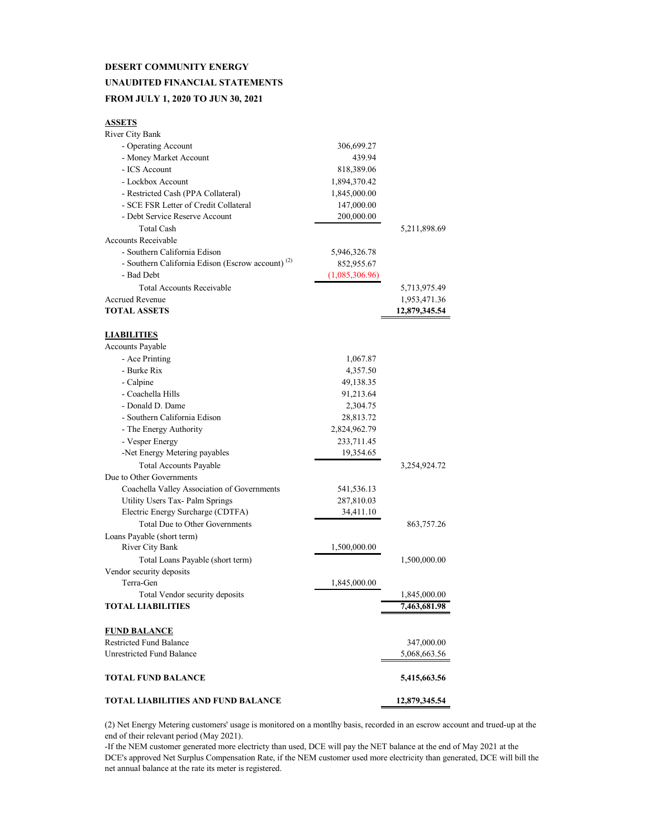### **DESERT COMMUNITY ENERGY UNAUDITED FINANCIAL STATEMENTS FROM JULY 1, 2020 TO JUN 30, 2021**

#### **ASSETS**

| <b>River City Bank</b>                                       |                |               |
|--------------------------------------------------------------|----------------|---------------|
| - Operating Account                                          | 306,699.27     |               |
| - Money Market Account                                       | 439.94         |               |
| - ICS Account                                                | 818,389.06     |               |
| - Lockbox Account                                            | 1,894,370.42   |               |
| - Restricted Cash (PPA Collateral)                           | 1,845,000.00   |               |
| - SCE FSR Letter of Credit Collateral                        | 147,000.00     |               |
| - Debt Service Reserve Account                               | 200,000.00     |               |
| <b>Total Cash</b>                                            |                | 5,211,898.69  |
| <b>Accounts Receivable</b>                                   |                |               |
| - Southern California Edison                                 | 5,946,326.78   |               |
| - Southern California Edison (Escrow account) <sup>(2)</sup> | 852,955.67     |               |
| - Bad Debt                                                   | (1,085,306.96) |               |
| <b>Total Accounts Receivable</b>                             |                | 5,713,975.49  |
| <b>Accrued Revenue</b>                                       |                | 1,953,471.36  |
| <b>TOTAL ASSETS</b>                                          |                | 12,879,345.54 |
|                                                              |                |               |
| <b>LIABILITIES</b>                                           |                |               |
| <b>Accounts Payable</b>                                      |                |               |
| - Ace Printing                                               | 1,067.87       |               |
| - Burke Rix                                                  | 4,357.50       |               |
| - Calpine                                                    | 49,138.35      |               |
| - Coachella Hills                                            | 91,213.64      |               |
| - Donald D. Dame                                             | 2,304.75       |               |
| - Southern California Edison                                 | 28,813.72      |               |
| - The Energy Authority                                       | 2,824,962.79   |               |
| - Vesper Energy                                              | 233,711.45     |               |
| -Net Energy Metering payables                                | 19,354.65      |               |
| <b>Total Accounts Payable</b>                                |                | 3,254,924.72  |
| Due to Other Governments                                     |                |               |
| Coachella Valley Association of Governments                  | 541,536.13     |               |
| Utility Users Tax- Palm Springs                              | 287,810.03     |               |
| Electric Energy Surcharge (CDTFA)                            | 34,411.10      |               |
| <b>Total Due to Other Governments</b>                        |                | 863,757.26    |
| Loans Payable (short term)                                   |                |               |
| <b>River City Bank</b>                                       | 1,500,000.00   |               |
| Total Loans Payable (short term)                             |                | 1,500,000.00  |
| Vendor security deposits                                     |                |               |
| Terra-Gen                                                    | 1,845,000.00   |               |
| Total Vendor security deposits                               |                | 1,845,000.00  |
| <b>TOTAL LIABILITIES</b>                                     |                | 7,463,681.98  |
|                                                              |                |               |
| <b>FUND BALANCE</b>                                          |                |               |
| <b>Restricted Fund Balance</b>                               |                | 347,000.00    |
| <b>Unrestricted Fund Balance</b>                             |                | 5,068,663.56  |
|                                                              |                |               |
| <b>TOTAL FUND BALANCE</b>                                    |                | 5,415,663.56  |
| <b>TOTAL LIABILITIES AND FUND BALANCE</b>                    |                | 12,879,345.54 |

(2) Net Energy Metering customers' usage is monitored on a montlhy basis, recorded in an escrow account and trued-up at the end of their relevant period (May 2021).

-If the NEM customer generated more electricty than used, DCE will pay the NET balance at the end of May 2021 at the DCE's approved Net Surplus Compensation Rate, if the NEM customer used more electricity than generated, DCE will bill the net annual balance at the rate its meter is registered.